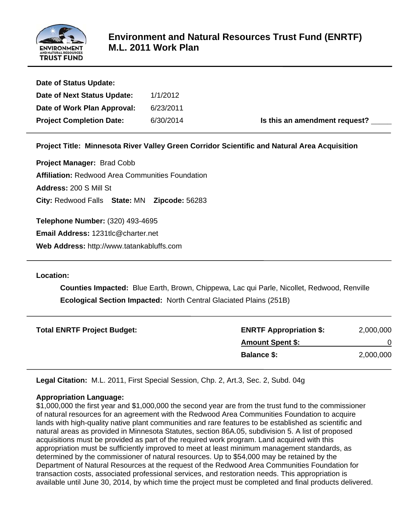

| Date of Status Update:          |           |                               |
|---------------------------------|-----------|-------------------------------|
| Date of Next Status Update:     | 1/1/2012  |                               |
| Date of Work Plan Approval:     | 6/23/2011 |                               |
| <b>Project Completion Date:</b> | 6/30/2014 | Is this an amendment request? |
|                                 |           |                               |

**Project Title: Minnesota River Valley Green Corridor Scientific and Natural Area Acquisition**

**Project Manager:** Brad Cobb **Affiliation:** Redwood Area Communities Foundation **Address:** 200 S Mill St **City:** Redwood Falls **State:** MN **Zipcode:** 56283

**Telephone Number:** (320) 493-4695

**Email Address:** 1231tlc@charter.net

**Web Address:** http://www.tatankabluffs.com

**Location:** 

 **Counties Impacted:** Blue Earth, Brown, Chippewa, Lac qui Parle, Nicollet, Redwood, Renville  **Ecological Section Impacted:** North Central Glaciated Plains (251B)

| <b>Total ENRTF Project Budget:</b> | <b>ENRTF Appropriation \$:</b> | 2,000,000 |
|------------------------------------|--------------------------------|-----------|
|                                    | <b>Amount Spent \$:</b>        |           |
|                                    | <b>Balance \$:</b>             | 2,000,000 |

**Legal Citation:** M.L. 2011, First Special Session, Chp. 2, Art.3, Sec. 2, Subd. 04g

#### **Appropriation Language:**

\$1,000,000 the first year and \$1,000,000 the second year are from the trust fund to the commissioner of natural resources for an agreement with the Redwood Area Communities Foundation to acquire lands with high-quality native plant communities and rare features to be established as scientific and natural areas as provided in Minnesota Statutes, section 86A.05, subdivision 5. A list of proposed acquisitions must be provided as part of the required work program. Land acquired with this appropriation must be sufficiently improved to meet at least minimum management standards, as determined by the commissioner of natural resources. Up to \$54,000 may be retained by the Department of Natural Resources at the request of the Redwood Area Communities Foundation for transaction costs, associated professional services, and restoration needs. This appropriation is available until June 30, 2014, by which time the project must be completed and final products delivered.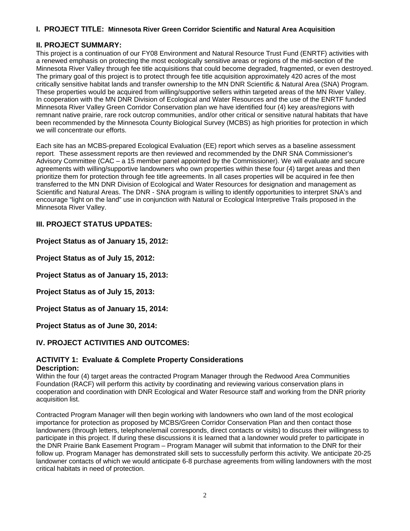## **I. PROJECT TITLE: Minnesota River Green Corridor Scientific and Natural Area Acquisition**

## **II. PROJECT SUMMARY:**

This project is a continuation of our FY08 Environment and Natural Resource Trust Fund (ENRTF) activities with a renewed emphasis on protecting the most ecologically sensitive areas or regions of the mid-section of the Minnesota River Valley through fee title acquisitions that could become degraded, fragmented, or even destroyed. The primary goal of this project is to protect through fee title acquisition approximately 420 acres of the most critically sensitive habitat lands and transfer ownership to the MN DNR Scientific & Natural Area (SNA) Program. These properties would be acquired from willing/supportive sellers within targeted areas of the MN River Valley. In cooperation with the MN DNR Division of Ecological and Water Resources and the use of the ENRTF funded Minnesota River Valley Green Corridor Conservation plan we have identified four (4) key areas/regions with remnant native prairie, rare rock outcrop communities, and/or other critical or sensitive natural habitats that have been recommended by the Minnesota County Biological Survey (MCBS) as high priorities for protection in which we will concentrate our efforts.

Each site has an MCBS-prepared Ecological Evaluation (EE) report which serves as a baseline assessment report. These assessment reports are then reviewed and recommended by the DNR SNA Commissioner's Advisory Committee (CAC – a 15 member panel appointed by the Commissioner). We will evaluate and secure agreements with willing/supportive landowners who own properties within these four (4) target areas and then prioritize them for protection through fee title agreements. In all cases properties will be acquired in fee then transferred to the MN DNR Division of Ecological and Water Resources for designation and management as Scientific and Natural Areas. The DNR - SNA program is willing to identify opportunities to interpret SNA's and encourage "light on the land" use in conjunction with Natural or Ecological Interpretive Trails proposed in the Minnesota River Valley.

## **III. PROJECT STATUS UPDATES:**

#### **Project Status as of January 15, 2012:**

**Project Status as of July 15, 2012:**

**Project Status as of January 15, 2013:**

**Project Status as of July 15, 2013:**

**Project Status as of January 15, 2014:** 

**Project Status as of June 30, 2014:** 

## **IV. PROJECT ACTIVITIES AND OUTCOMES:**

#### **ACTIVITY 1: Evaluate & Complete Property Considerations Description:**

Within the four (4) target areas the contracted Program Manager through the Redwood Area Communities Foundation (RACF) will perform this activity by coordinating and reviewing various conservation plans in cooperation and coordination with DNR Ecological and Water Resource staff and working from the DNR priority acquisition list.

Contracted Program Manager will then begin working with landowners who own land of the most ecological importance for protection as proposed by MCBS/Green Corridor Conservation Plan and then contact those landowners (through letters, telephone/email corresponds, direct contacts or visits) to discuss their willingness to participate in this project. If during these discussions it is learned that a landowner would prefer to participate in the DNR Prairie Bank Easement Program – Program Manager will submit that information to the DNR for their follow up. Program Manager has demonstrated skill sets to successfully perform this activity. We anticipate 20-25 landowner contacts of which we would anticipate 6-8 purchase agreements from willing landowners with the most critical habitats in need of protection.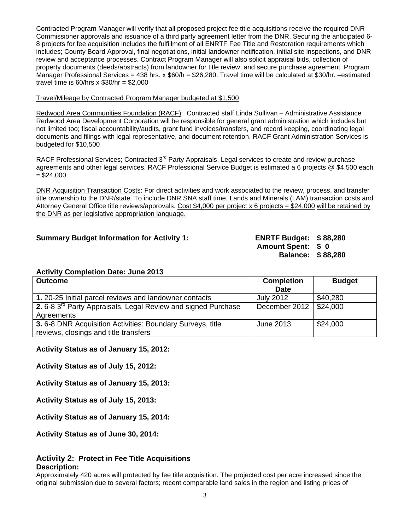Contracted Program Manager will verify that all proposed project fee title acquisitions receive the required DNR Commissioner approvals and issuance of a third party agreement letter from the DNR. Securing the anticipated 6- 8 projects for fee acquisition includes the fulfillment of all ENRTF Fee Title and Restoration requirements which includes; County Board Approval, final negotiations, initial landowner notification, initial site inspections, and DNR review and acceptance processes. Contract Program Manager will also solicit appraisal bids, collection of property documents (deeds/abstracts) from landowner for title review, and secure purchase agreement. Program Manager Professional Services = 438 hrs. x \$60/h = \$26,280. Travel time will be calculated at \$30/hr. –estimated travel time is  $60/hrs \times $30/hr = $2,000$ 

#### Travel/Mileage by Contracted Program Manager budgeted at \$1,500

Redwood Area Communities Foundation (RACF): Contracted staff Linda Sullivan – Administrative Assistance Redwood Area Development Corporation will be responsible for general grant administration which includes but not limited too; fiscal accountability/audits, grant fund invoices/transfers, and record keeping, coordinating legal documents and filings with legal representative, and document retention. RACF Grant Administration Services is budgeted for \$10,500

RACF Professional Services; Contracted 3<sup>rd</sup> Party Appraisals. Legal services to create and review purchase agreements and other legal services. RACF Professional Service Budget is estimated a 6 projects @ \$4,500 each  $= $24,000$ 

DNR Acquisition Transaction Costs: For direct activities and work associated to the review, process, and transfer title ownership to the DNR/state. To include DNR SNA staff time, Lands and Minerals (LAM) transaction costs and Attorney General Office title reviews/approvals. Cost \$4,000 per project x 6 projects = \$24,000 will be retained by the DNR as per legislative appropriation language.

#### **Summary Budget Information for Activity 1: ENRTF Budget: \$ 88,280**

**Amount Spent: \$ 0 Balance: \$ 88,280** 

#### **Activity Completion Date: June 2013**

| <b>Outcome</b>                                                            | <b>Completion</b><br>Date | <b>Budget</b> |
|---------------------------------------------------------------------------|---------------------------|---------------|
|                                                                           |                           |               |
| 1. 20-25 Initial parcel reviews and landowner contacts                    | <b>July 2012</b>          | \$40,280      |
| 2. 6-8 3 <sup>rd</sup> Party Appraisals, Legal Review and signed Purchase | December 2012   \$24,000  |               |
| Agreements                                                                |                           |               |
| 3.6-8 DNR Acquisition Activities: Boundary Surveys, title                 | June 2013                 | \$24,000      |
| reviews, closings and title transfers                                     |                           |               |

**Activity Status as of January 15, 2012:**

**Activity Status as of July 15, 2012:**

**Activity Status as of January 15, 2013:**

**Activity Status as of July 15, 2013:**

**Activity Status as of January 15, 2014:** 

**Activity Status as of June 30, 2014:** 

#### **Activity 2: Protect in Fee Title Acquisitions Description:**

Approximately 420 acres will protected by fee title acquisition. The projected cost per acre increased since the original submission due to several factors; recent comparable land sales in the region and listing prices of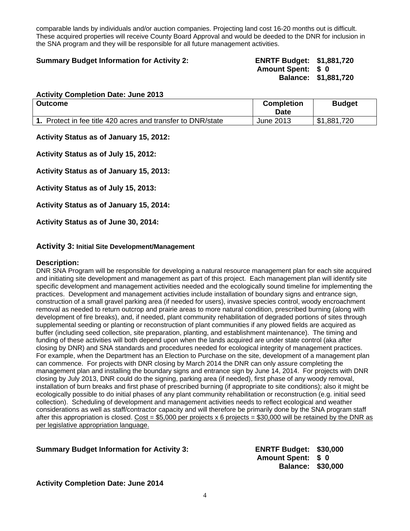comparable lands by individuals and/or auction companies. Projecting land cost 16-20 months out is difficult. These acquired properties will receive County Board Approval and would be deeded to the DNR for inclusion in the SNA program and they will be responsible for all future management activities.

#### **Summary Budget Information for Activity 2: ENRTF Budget: \$1,881,720**

**Amount Spent: \$ 0 Balance: \$1,881,720** 

#### **Activity Completion Date: June 2013**

| <b>Outcome</b>                                              | <b>Completion</b><br>Date | <b>Budget</b> |
|-------------------------------------------------------------|---------------------------|---------------|
| 1. Protect in fee title 420 acres and transfer to DNR/state | June 2013                 | \$1,881,720   |

**Activity Status as of January 15, 2012:**

**Activity Status as of July 15, 2012:**

**Activity Status as of January 15, 2013:**

**Activity Status as of July 15, 2013:**

**Activity Status as of January 15, 2014:** 

**Activity Status as of June 30, 2014:** 

#### **Activity 3: Initial Site Development/Management**

#### **Description:**

DNR SNA Program will be responsible for developing a natural resource management plan for each site acquired and initiating site development and management as part of this project. Each management plan will identify site specific development and management activities needed and the ecologically sound timeline for implementing the practices. Development and management activities include installation of boundary signs and entrance sign, construction of a small gravel parking area (if needed for users), invasive species control, woody encroachment removal as needed to return outcrop and prairie areas to more natural condition, prescribed burning (along with development of fire breaks), and, if needed, plant community rehabilitation of degraded portions of sites through supplemental seeding or planting or reconstruction of plant communities if any plowed fields are acquired as buffer (including seed collection, site preparation, planting, and establishment maintenance). The timing and funding of these activities will both depend upon when the lands acquired are under state control (aka after closing by DNR) and SNA standards and procedures needed for ecological integrity of management practices. For example, when the Department has an Election to Purchase on the site, development of a management plan can commence. For projects with DNR closing by March 2014 the DNR can only assure completing the management plan and installing the boundary signs and entrance sign by June 14, 2014. For projects with DNR closing by July 2013, DNR could do the signing, parking area (if needed), first phase of any woody removal, installation of burn breaks and first phase of prescribed burning (if appropriate to site conditions); also it might be ecologically possible to do initial phases of any plant community rehabilitation or reconstruction (e.g. initial seed collection). Scheduling of development and management activities needs to reflect ecological and weather considerations as well as staff/contractor capacity and will therefore be primarily done by the SNA program staff after this appropriation is closed. Cost = \$5,000 per projects x 6 projects = \$30,000 will be retained by the DNR as per legislative appropriation language.

#### **Summary Budget Information for Activity 3: ENRTF Budget: \$30,000**

**Amount Spent: \$ 0 Balance: \$30,000** 

#### **Activity Completion Date: June 2014**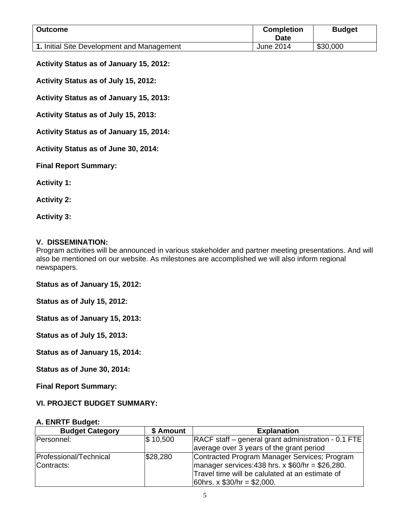| <b>Outcome</b>                             | <b>Completion</b><br>Date | <b>Budget</b> |
|--------------------------------------------|---------------------------|---------------|
| 1. Initial Site Development and Management | June 2014                 | \$30,000      |

#### **Activity Status as of January 15, 2012:**

**Activity Status as of July 15, 2012:**

**Activity Status as of January 15, 2013:**

**Activity Status as of July 15, 2013:**

**Activity Status as of January 15, 2014:** 

**Activity Status as of June 30, 2014:** 

**Final Report Summary:**

**Activity 1:** 

**Activity 2:** 

**Activity 3:**

#### **V. DISSEMINATION:**

Program activities will be announced in various stakeholder and partner meeting presentations. And will also be mentioned on our website. As milestones are accomplished we will also inform regional newspapers.

**Status as of January 15, 2012:**

**Status as of July 15, 2012:**

**Status as of January 15, 2013:**

**Status as of July 15, 2013:**

**Status as of January 15, 2014:** 

**Status as of June 30, 2014:** 

**Final Report Summary:**

## **VI. PROJECT BUDGET SUMMARY:**

#### **A. ENRTF Budget:**

| <b>Budget Category</b>               | \$ Amount    | <b>Explanation</b>                                                                                                                                                                        |
|--------------------------------------|--------------|-------------------------------------------------------------------------------------------------------------------------------------------------------------------------------------------|
| Personnel:                           | $\$\,10,500$ | RACF staff – general grant administration - 0.1 FTE                                                                                                                                       |
|                                      |              | average over 3 years of the grant period                                                                                                                                                  |
| Professional/Technical<br>Contracts: | \$28,280     | Contracted Program Manager Services; Program<br>$\mu$ manager services: 438 hrs. x \$60/hr = \$26,280.<br>Travel time will be calulated at an estimate of<br>60hrs. x $$30/hr = $2,000$ . |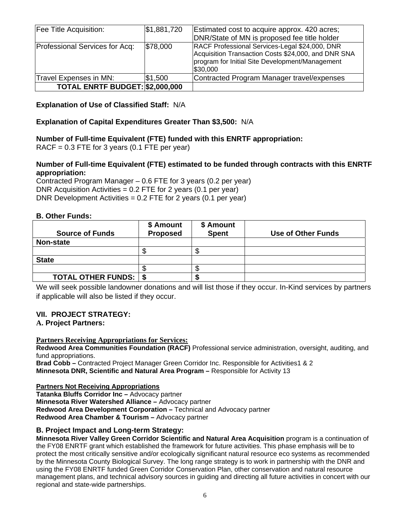| Fee Title Acquisition:          | \$1,881,720 | Estimated cost to acquire approx. 420 acres;                                                                                                                         |  |  |  |  |
|---------------------------------|-------------|----------------------------------------------------------------------------------------------------------------------------------------------------------------------|--|--|--|--|
|                                 |             | DNR/State of MN is proposed fee title holder                                                                                                                         |  |  |  |  |
| Professional Services for Acq:  | \$78,000    | RACF Professional Services-Legal \$24,000, DNR<br>Acquisition Transaction Costs \$24,000, and DNR SNA<br>program for Initial Site Development/Management<br>\$30,000 |  |  |  |  |
| Travel Expenses in MN:          | \$1,500     | Contracted Program Manager travel/expenses                                                                                                                           |  |  |  |  |
| TOTAL ENRTF BUDGET: \$2,000,000 |             |                                                                                                                                                                      |  |  |  |  |

## **Explanation of Use of Classified Staff:** N/A

## **Explanation of Capital Expenditures Greater Than \$3,500:** N/A

## **Number of Full-time Equivalent (FTE) funded with this ENRTF appropriation:**

RACF =  $0.3$  FTE for 3 years (0.1 FTE per year)

## **Number of Full-time Equivalent (FTE) estimated to be funded through contracts with this ENRTF appropriation:**

Contracted Program Manager – 0.6 FTE for 3 years (0.2 per year) DNR Acquisition Activities  $= 0.2$  FTE for 2 years (0.1 per year) DNR Development Activities = 0.2 FTE for 2 years (0.1 per year)

## **B. Other Funds:**

| <b>Source of Funds</b>         | \$ Amount<br><b>Proposed</b> | \$ Amount<br><b>Spent</b> | Use of Other Funds |
|--------------------------------|------------------------------|---------------------------|--------------------|
| Non-state                      |                              |                           |                    |
|                                |                              |                           |                    |
| <b>State</b>                   |                              |                           |                    |
|                                |                              |                           |                    |
| <b>TOTAL OTHER FUNDS:   \$</b> |                              |                           |                    |

We will seek possible landowner donations and will list those if they occur. In-Kind services by partners if applicable will also be listed if they occur.

## **VII. PROJECT STRATEGY:**

## **A. Project Partners:**

#### **Partners Receiving Appropriations for Services:**

**Redwood Area Communities Foundation (RACF)** Professional service administration, oversight, auditing, and fund appropriations.

**Brad Cobb –** Contracted Project Manager Green Corridor Inc. Responsible for Activities1 & 2 **Minnesota DNR, Scientific and Natural Area Program –** Responsible for Activity 13

#### **Partners Not Receiving Appropriations**

**Tatanka Bluffs Corridor Inc –** Advocacy partner **Minnesota River Watershed Alliance –** Advocacy partner **Redwood Area Development Corporation –** Technical and Advocacy partner **Redwood Area Chamber & Tourism –** Advocacy partner

## **B. Project Impact and Long-term Strategy:**

**Minnesota River Valley Green Corridor Scientific and Natural Area Acquisition** program is a continuation of the FY08 ENRTF grant which established the framework for future activities. This phase emphasis will be to protect the most critically sensitive and/or ecologically significant natural resource eco systems as recommended by the Minnesota County Biological Survey. The long range strategy is to work in partnership with the DNR and using the FY08 ENRTF funded Green Corridor Conservation Plan, other conservation and natural resource management plans, and technical advisory sources in guiding and directing all future activities in concert with our regional and state-wide partnerships.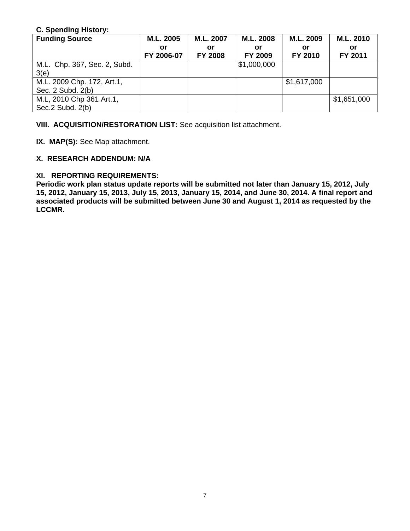## **C. Spending History:**

| <b>Funding Source</b>                             | M.L. 2005        | M.L. 2007            | M.L. 2008     | M.L. 2009     | M.L. 2010     |
|---------------------------------------------------|------------------|----------------------|---------------|---------------|---------------|
|                                                   | or<br>FY 2006-07 | or<br><b>FY 2008</b> | or<br>FY 2009 | or<br>FY 2010 | or<br>FY 2011 |
| M.L. Chp. 367, Sec. 2, Subd.<br>3(e)              |                  |                      | \$1,000,000   |               |               |
| M.L. 2009 Chp. 172, Art.1,<br>Sec. 2 Subd. 2(b)   |                  |                      |               | \$1,617,000   |               |
| M.L, 2010 Chp 361 Art.1,<br>Sec. $2$ Subd. $2(b)$ |                  |                      |               |               | \$1,651,000   |

**VIII. ACQUISITION/RESTORATION LIST:** See acquisition list attachment.

**IX. MAP(S):** See Map attachment.

## **X. RESEARCH ADDENDUM: N/A**

## **XI. REPORTING REQUIREMENTS:**

**Periodic work plan status update reports will be submitted not later than January 15, 2012, July 15, 2012, January 15, 2013, July 15, 2013, January 15, 2014, and June 30, 2014. A final report and associated products will be submitted between June 30 and August 1, 2014 as requested by the LCCMR.**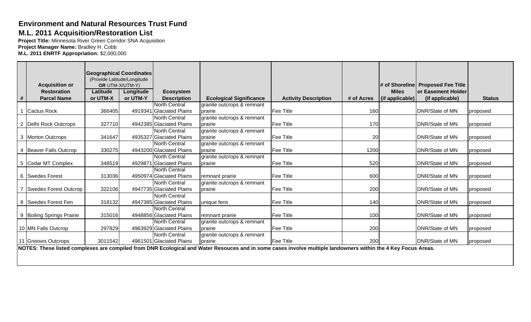# **Environment and Natural Resources Trust Fund**

## **M.L. 2011 Acquisition/Restoration List**

**Project Title:** Minnesota River Green Corridor SNA Acquisition **Project Manager Name:** Bradley H. Cobb **M.L. 2011 ENRTF Appropriation:** \$2,000,000

|                              |          | <b>Geographical Coordinates</b> |                          |                                |                                                                                                                                                               |            |                 |                                   |               |
|------------------------------|----------|---------------------------------|--------------------------|--------------------------------|---------------------------------------------------------------------------------------------------------------------------------------------------------------|------------|-----------------|-----------------------------------|---------------|
|                              |          | (Provide Latitude/Longitude     |                          |                                |                                                                                                                                                               |            |                 |                                   |               |
| <b>Acquisition or</b>        |          | OR UTM-X/UTM-Y)                 |                          |                                |                                                                                                                                                               |            |                 | # of Shoreline Proposed Fee Title |               |
| <b>Restoration</b>           | Latitude | Longitude                       | <b>Ecosystem</b>         |                                |                                                                                                                                                               |            | <b>Miles</b>    | or Easement Holder                |               |
| #<br><b>Parcel Name</b>      | or UTM-X | or UTM-Y                        | <b>Description</b>       | <b>Ecological Significance</b> | <b>Activity Description</b>                                                                                                                                   | # of Acres | (if applicable) | (if applicable)                   | <b>Status</b> |
|                              |          |                                 | <b>North Central</b>     | granite outcrops & remnant     |                                                                                                                                                               |            |                 |                                   |               |
| <b>Cactus Rock</b>           | 366405   |                                 | 4919341 Glaciated Plains | prairie                        | Fee Title                                                                                                                                                     | 160        |                 | DNR/State of MN                   | proposed      |
|                              |          |                                 | <b>North Central</b>     | granite outcrops & remnant     |                                                                                                                                                               |            |                 |                                   |               |
| 2 Delhi Rock Outcrops        | 327710   |                                 | 4942385 Glaciated Plains | prairie                        | Fee Title                                                                                                                                                     | 170        |                 | DNR/State of MN                   | proposed      |
|                              |          |                                 | North Central            | granite outcrops & remnant     |                                                                                                                                                               |            |                 |                                   |               |
| 3 Morton Outcrops            | 341647   |                                 | 4935327 Glaciated Plains | prairie                        | Fee Title                                                                                                                                                     | 20         |                 | DNR/State of MN                   | proposed      |
|                              |          |                                 | <b>North Central</b>     | granite outcrops & remnant     |                                                                                                                                                               |            |                 |                                   |               |
| 4 Beaver Falls Outcrop       | 330275   |                                 | 4943200 Glaciated Plains | prairie                        | Fee Title                                                                                                                                                     | 1200       |                 | <b>DNR/State of MN</b>            | proposed      |
|                              |          |                                 | North Central            | granite outcrops & remnant     |                                                                                                                                                               |            |                 |                                   |               |
| 5 Cedar MT Complex           | 348519   |                                 | 4929871 Glaciated Plains | prairie                        | Fee Title                                                                                                                                                     | 520        |                 | DNR/State of MN                   | proposed      |
|                              |          |                                 | <b>North Central</b>     |                                |                                                                                                                                                               |            |                 |                                   |               |
| 6 Swedes Forest              | 313036   |                                 | 4950974 Glaciated Plains | remnant prairie                | Fee Title                                                                                                                                                     | 600        |                 | <b>DNR/State of MN</b>            | proposed      |
|                              |          |                                 | North Central            | granite outcrops & remnant     |                                                                                                                                                               |            |                 |                                   |               |
| <b>Swedes Forest Outcrop</b> | 322106   |                                 | 4947735 Glaciated Plains | prairie                        | Fee Title                                                                                                                                                     | 200        |                 | DNR/State of MN                   | proposed      |
|                              |          |                                 | North Central            |                                |                                                                                                                                                               |            |                 |                                   |               |
| 8 Swedes Forest Fen          | 318132   |                                 | 4947385 Glaciated Plains | unique fens                    | Fee Title                                                                                                                                                     | 140        |                 | DNR/State of MN                   | proposed      |
|                              |          |                                 | North Central            |                                |                                                                                                                                                               |            |                 |                                   |               |
| 9 Boiling Springs Prairie    | 315016   |                                 | 4948856 Glaciated Plains | remnant prairie                | Fee Title                                                                                                                                                     | 100        |                 | DNR/State of MN                   | proposed      |
|                              |          |                                 | North Central            | granite outcrops & remnant     |                                                                                                                                                               |            |                 |                                   |               |
| 10 MN Falls Outcrop          | 297829   |                                 | 4963929 Glaciated Plains | <b>prairie</b>                 | Fee Title                                                                                                                                                     | 200        |                 | DNR/State of MN                   | proposed      |
|                              |          |                                 | North Central            | granite outcrops & remnant     |                                                                                                                                                               |            |                 |                                   |               |
| 11 Gneises Outcrops          | 3011542  |                                 | 4961501 Glaciated Plains | <b>prairie</b>                 | Fee Title                                                                                                                                                     | 200        |                 | DNR/State of MN                   | proposed      |
|                              |          |                                 |                          |                                | NOTES: These listed complexes are compiled from DNR Ecological and Water Resouces and in some cases involve multiple landowners within the 4 Key Focus Areas. |            |                 |                                   |               |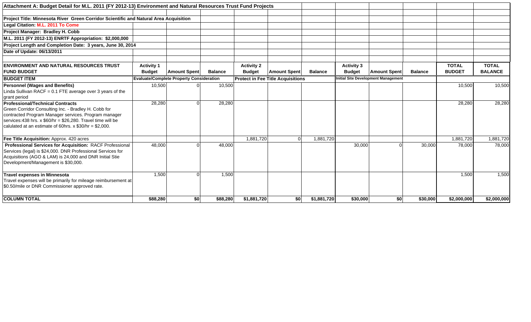| Attachment A: Budget Detail for M.L. 2011 (FY 2012-13) Environment and Natural Resources Trust Fund Projects |                   |                                                 |                |                   |                                          |                |                   |                                            |                |               |                |
|--------------------------------------------------------------------------------------------------------------|-------------------|-------------------------------------------------|----------------|-------------------|------------------------------------------|----------------|-------------------|--------------------------------------------|----------------|---------------|----------------|
|                                                                                                              |                   |                                                 |                |                   |                                          |                |                   |                                            |                |               |                |
| Project Title: Minnesota River Green Corridor Scientific and Natural Area Acquisition                        |                   |                                                 |                |                   |                                          |                |                   |                                            |                |               |                |
| Legal Citation: M.L. 2011 To Come                                                                            |                   |                                                 |                |                   |                                          |                |                   |                                            |                |               |                |
| Project Manager: Bradley H. Cobb                                                                             |                   |                                                 |                |                   |                                          |                |                   |                                            |                |               |                |
| M.L. 2011 (FY 2012-13) ENRTF Appropriation: \$2,000,000                                                      |                   |                                                 |                |                   |                                          |                |                   |                                            |                |               |                |
| Project Length and Completion Date: 3 years, June 30, 2014                                                   |                   |                                                 |                |                   |                                          |                |                   |                                            |                |               |                |
| Date of Update: 06/13/2011                                                                                   |                   |                                                 |                |                   |                                          |                |                   |                                            |                |               |                |
|                                                                                                              |                   |                                                 |                |                   |                                          |                |                   |                                            |                |               |                |
| <b>ENVIRONMENT AND NATURAL RESOURCES TRUST</b>                                                               | <b>Activity 1</b> |                                                 |                | <b>Activity 2</b> |                                          |                | <b>Activity 3</b> |                                            |                | <b>TOTAL</b>  | <b>TOTAL</b>   |
| <b>FUND BUDGET</b>                                                                                           | <b>Budget</b>     | <b>Amount Spent</b>                             | <b>Balance</b> | <b>Budget</b>     | <b>Amount Spent</b>                      | <b>Balance</b> | <b>Budget</b>     | <b>Amount Spent</b>                        | <b>Balance</b> | <b>BUDGET</b> | <b>BALANCE</b> |
| <b>BUDGET ITEM</b>                                                                                           |                   | <b>Evaluate/Complete Property Consideration</b> |                |                   | <b>Protect in Fee Title Acquisitions</b> |                |                   | <b>Initial Site Development Management</b> |                |               |                |
| <b>Personnel (Wages and Benefits)</b>                                                                        | 10,500            |                                                 | 10,500         |                   |                                          |                |                   |                                            |                | 10,500        | 10,500         |
| Linda Sullivan RACF = 0.1 FTE average over 3 years of the                                                    |                   |                                                 |                |                   |                                          |                |                   |                                            |                |               |                |
| grant period                                                                                                 |                   |                                                 |                |                   |                                          |                |                   |                                            |                |               |                |
| <b>Professional/Technical Contracts</b><br>Green Corridor Consulting Inc. - Bradley H. Cobb for              | 28,280            |                                                 | 28,280         |                   |                                          |                |                   |                                            |                | 28,280        | 28,280         |
| contracted Program Manager services. Program manager                                                         |                   |                                                 |                |                   |                                          |                |                   |                                            |                |               |                |
| services: 438 hrs. x $$60/hr = $26,280$ . Travel time will be                                                |                   |                                                 |                |                   |                                          |                |                   |                                            |                |               |                |
| calulated at an estimate of 60hrs. $x$ \$30/hr = \$2,000.                                                    |                   |                                                 |                |                   |                                          |                |                   |                                            |                |               |                |
|                                                                                                              |                   |                                                 |                |                   |                                          |                |                   |                                            |                |               |                |
| Fee Title Acquisition: Approx. 420 acres                                                                     |                   |                                                 |                | 1,881,720         |                                          | 1,881,720      |                   |                                            |                | 1,881,720     | 1,881,720      |
| Professional Services for Acquisition: RACF Professional                                                     | 48,000            |                                                 | 48,000         |                   |                                          |                | 30,000            |                                            | 30,000         | 78,000        | 78,000         |
| Services (legal) is \$24,000. DNR Professional Services for                                                  |                   |                                                 |                |                   |                                          |                |                   |                                            |                |               |                |
| Acquisitions (AGO & LAM) is 24,000 and DNR Initial Stie                                                      |                   |                                                 |                |                   |                                          |                |                   |                                            |                |               |                |
| Development/Management is \$30,000.                                                                          |                   |                                                 |                |                   |                                          |                |                   |                                            |                |               |                |
| Travel expenses in Minnesota                                                                                 | 1,500             |                                                 | 1,500          |                   |                                          |                |                   |                                            |                | 1,500         | 1,500          |
| Travel expenses will be primarily for mileage reimbursement at                                               |                   |                                                 |                |                   |                                          |                |                   |                                            |                |               |                |
| \$0.50/mile or DNR Commissioner approved rate.                                                               |                   |                                                 |                |                   |                                          |                |                   |                                            |                |               |                |
| <b>COLUMN TOTAL</b>                                                                                          | \$88,280          | \$0                                             | \$88,280       | \$1,881,720       | \$0                                      | \$1,881,720    | \$30,000          | \$0                                        | \$30,000       | \$2,000,000   | \$2,000,000    |
|                                                                                                              |                   |                                                 |                |                   |                                          |                |                   |                                            |                |               |                |